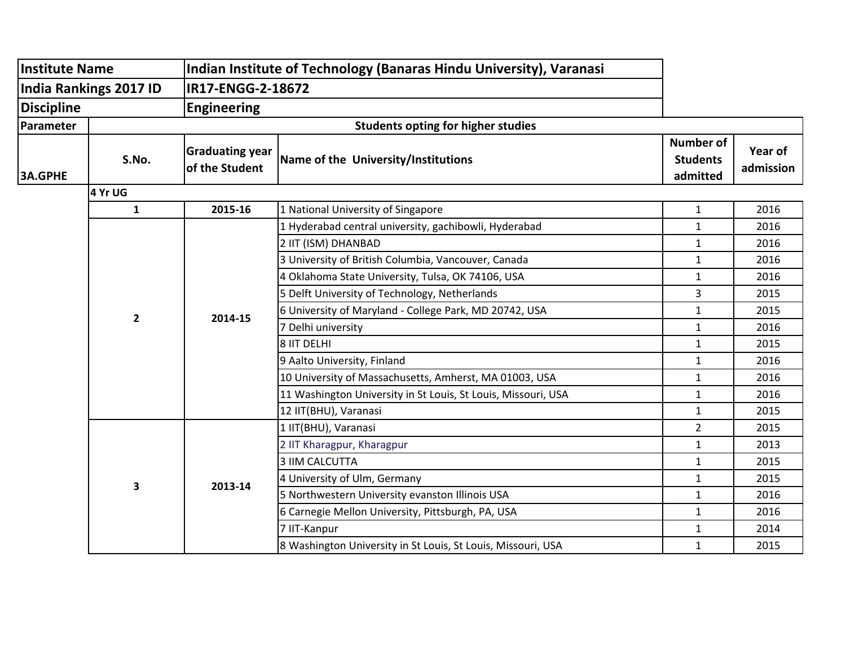| <b>Institute Name</b> |                                           | Indian Institute of Technology (Banaras Hindu University), Varanasi |                                                               |                                                 |                      |
|-----------------------|-------------------------------------------|---------------------------------------------------------------------|---------------------------------------------------------------|-------------------------------------------------|----------------------|
|                       | <b>India Rankings 2017 ID</b>             | IR17-ENGG-2-18672                                                   |                                                               |                                                 |                      |
| <b>Discipline</b>     |                                           | <b>Engineering</b>                                                  |                                                               |                                                 |                      |
| Parameter             | <b>Students opting for higher studies</b> |                                                                     |                                                               |                                                 |                      |
| <b>3A.GPHE</b>        | S.No.                                     | <b>Graduating year</b><br>of the Student                            | Name of the University/Institutions                           | <b>Number of</b><br><b>Students</b><br>admitted | Year of<br>admission |
|                       | 4 Yr UG                                   |                                                                     |                                                               |                                                 |                      |
|                       | $\mathbf{1}$                              | 2015-16                                                             | 1 National University of Singapore                            | $\mathbf{1}$                                    | 2016                 |
|                       |                                           |                                                                     | 1 Hyderabad central university, gachibowli, Hyderabad         | $\mathbf{1}$                                    | 2016                 |
|                       |                                           |                                                                     | 2 IIT (ISM) DHANBAD                                           | $\mathbf{1}$                                    | 2016                 |
|                       |                                           |                                                                     | 3 University of British Columbia, Vancouver, Canada           | $\mathbf{1}$                                    | 2016                 |
|                       |                                           |                                                                     | 4 Oklahoma State University, Tulsa, OK 74106, USA             | $\mathbf{1}$                                    | 2016                 |
|                       |                                           | $\overline{2}$<br>2014-15<br>2013-14<br>3                           | 5 Delft University of Technology, Netherlands                 | 3                                               | 2015                 |
|                       |                                           |                                                                     | 6 University of Maryland - College Park, MD 20742, USA        | $\mathbf{1}$                                    | 2015                 |
|                       |                                           |                                                                     | 7 Delhi university                                            | $\mathbf{1}$                                    | 2016                 |
|                       |                                           |                                                                     | 8 IIT DELHI                                                   | $\mathbf{1}$                                    | 2015                 |
|                       |                                           |                                                                     | 9 Aalto University, Finland                                   | $\mathbf{1}$                                    | 2016                 |
|                       |                                           |                                                                     | 10 University of Massachusetts, Amherst, MA 01003, USA        | $\mathbf{1}$                                    | 2016                 |
|                       |                                           |                                                                     | 11 Washington University in St Louis, St Louis, Missouri, USA | $\mathbf{1}$                                    | 2016                 |
|                       |                                           |                                                                     | 12 IIT(BHU), Varanasi                                         | $\mathbf{1}$                                    | 2015                 |
|                       |                                           |                                                                     | 1 IIT(BHU), Varanasi                                          | $\overline{2}$                                  | 2015                 |
|                       |                                           |                                                                     | 2 IIT Kharagpur, Kharagpur                                    | $\mathbf{1}$                                    | 2013                 |
|                       |                                           |                                                                     | 3 IIM CALCUTTA                                                | $\mathbf{1}$                                    | 2015                 |
|                       |                                           |                                                                     | 4 University of Ulm, Germany                                  | $\mathbf{1}$                                    | 2015                 |
|                       |                                           |                                                                     | 5 Northwestern University evanston Illinois USA               | $\mathbf{1}$                                    | 2016                 |
|                       |                                           |                                                                     | 6 Carnegie Mellon University, Pittsburgh, PA, USA             | $\mathbf{1}$                                    | 2016                 |
|                       |                                           |                                                                     | 7 IIT-Kanpur                                                  | $\mathbf{1}$                                    | 2014                 |
|                       |                                           |                                                                     | 8 Washington University in St Louis, St Louis, Missouri, USA  | $\mathbf{1}$                                    | 2015                 |